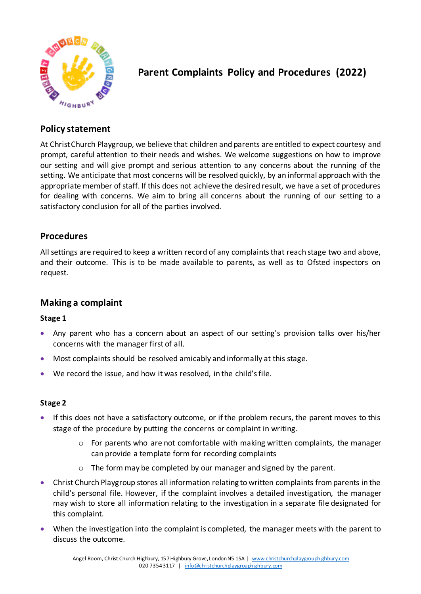

# **Parent Complaints Policy and Procedures (2022)**

# **Policy statement**

At Christ Church Playgroup, we believe that children and parents are entitled to expect courtesy and prompt, careful attention to their needs and wishes. We welcome suggestions on how to improve our setting and will give prompt and serious attention to any concerns about the running of the setting. We anticipate that most concerns will be resolved quickly, by an informal approach with the appropriate member of staff. If this does not achieve the desired result, we have a set of procedures for dealing with concerns. We aim to bring all concerns about the running of our setting to a satisfactory conclusion for all of the parties involved.

## **Procedures**

All settings are required to keep a written record of any complaints that reach stage two and above, and their outcome. This is to be made available to parents, as well as to Ofsted inspectors on request.

## **Making a complaint**

#### **Stage 1**

- Any parent who has a concern about an aspect of our setting's provision talks over his/her concerns with the manager first of all.
- Most complaints should be resolved amicably and informally at this stage.
- We record the issue, and how it was resolved, in the child's file.

#### **Stage 2**

- If this does not have a satisfactory outcome, or if the problem recurs, the parent moves to this stage of the procedure by putting the concerns or complaint in writing.
	- $\circ$  For parents who are not comfortable with making written complaints, the manager can provide a template form for recording complaints
	- o The form may be completed by our manager and signed by the parent.
- Christ Church Playgroup stores all information relating to written complaints from parents in the child's personal file. However, if the complaint involves a detailed investigation, the manager may wish to store all information relating to the investigation in a separate file designated for this complaint.
- When the investigation into the complaint is completed, the manager meets with the parent to discuss the outcome.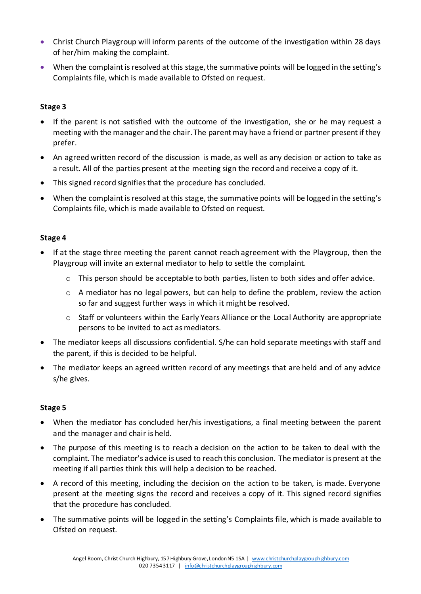- Christ Church Playgroup will inform parents of the outcome of the investigation within 28 days of her/him making the complaint.
- When the complaint is resolved at this stage, the summative points will be logged in the setting's Complaints file, which is made available to Ofsted on request.

#### **Stage 3**

- If the parent is not satisfied with the outcome of the investigation, she or he may request a meeting with the manager and the chair. The parent may have a friend or partner present if they prefer.
- An agreed written record of the discussion is made, as well as any decision or action to take as a result. All of the parties present at the meeting sign the record and receive a copy of it.
- This signed record signifies that the procedure has concluded.
- When the complaint is resolved at this stage, the summative points will be logged in the setting's Complaints file, which is made available to Ofsted on request.

#### **Stage 4**

- If at the stage three meeting the parent cannot reach agreement with the Playgroup, then the Playgroup will invite an external mediator to help to settle the complaint.
	- o This person should be acceptable to both parties, listen to both sides and offer advice.
	- $\circ$  A mediator has no legal powers, but can help to define the problem, review the action so far and suggest further ways in which it might be resolved.
	- $\circ$  Staff or volunteers within the Early Years Alliance or the Local Authority are appropriate persons to be invited to act as mediators.
- The mediator keeps all discussions confidential. S/he can hold separate meetings with staff and the parent, if this is decided to be helpful.
- The mediator keeps an agreed written record of any meetings that are held and of any advice s/he gives.

#### **Stage 5**

- When the mediator has concluded her/his investigations, a final meeting between the parent and the manager and chair is held.
- The purpose of this meeting is to reach a decision on the action to be taken to deal with the complaint. The mediator's advice is used to reach this conclusion. The mediator is present at the meeting if all parties think this will help a decision to be reached.
- A record of this meeting, including the decision on the action to be taken, is made. Everyone present at the meeting signs the record and receives a copy of it. This signed record signifies that the procedure has concluded.
- The summative points will be logged in the setting's Complaints file, which is made available to Ofsted on request.